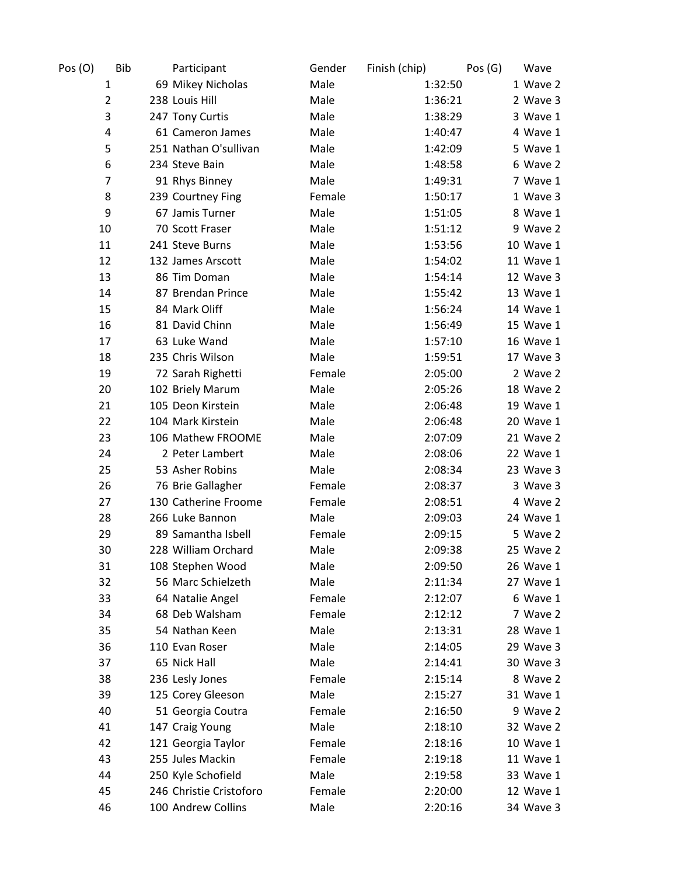| Pos (O)        | <b>Bib</b> | Participant             | Gender | Finish (chip) | Pos(G)<br>Wave |
|----------------|------------|-------------------------|--------|---------------|----------------|
| 1              |            | 69 Mikey Nicholas       | Male   | 1:32:50       | 1 Wave 2       |
| $\overline{2}$ |            | 238 Louis Hill          | Male   | 1:36:21       | 2 Wave 3       |
| 3              |            | 247 Tony Curtis         | Male   | 1:38:29       | 3 Wave 1       |
| 4              |            | 61 Cameron James        | Male   | 1:40:47       | 4 Wave 1       |
| 5              |            | 251 Nathan O'sullivan   | Male   | 1:42:09       | 5 Wave 1       |
| 6              |            | 234 Steve Bain          | Male   | 1:48:58       | 6 Wave 2       |
| $\overline{7}$ |            | 91 Rhys Binney          | Male   | 1:49:31       | 7 Wave 1       |
| 8              |            | 239 Courtney Fing       | Female | 1:50:17       | 1 Wave 3       |
| 9              |            | 67 Jamis Turner         | Male   | 1:51:05       | 8 Wave 1       |
| 10             |            | 70 Scott Fraser         | Male   | 1:51:12       | 9 Wave 2       |
| 11             |            | 241 Steve Burns         | Male   | 1:53:56       | 10 Wave 1      |
| 12             |            | 132 James Arscott       | Male   | 1:54:02       | 11 Wave 1      |
| 13             |            | 86 Tim Doman            | Male   | 1:54:14       | 12 Wave 3      |
| 14             |            | 87 Brendan Prince       | Male   | 1:55:42       | 13 Wave 1      |
| 15             |            | 84 Mark Oliff           | Male   | 1:56:24       | 14 Wave 1      |
| 16             |            | 81 David Chinn          | Male   | 1:56:49       | 15 Wave 1      |
| 17             |            | 63 Luke Wand            | Male   | 1:57:10       | 16 Wave 1      |
| 18             |            | 235 Chris Wilson        | Male   | 1:59:51       | 17 Wave 3      |
| 19             |            | 72 Sarah Righetti       | Female | 2:05:00       | 2 Wave 2       |
| 20             |            | 102 Briely Marum        | Male   | 2:05:26       | 18 Wave 2      |
| 21             |            | 105 Deon Kirstein       | Male   | 2:06:48       | 19 Wave 1      |
| 22             |            | 104 Mark Kirstein       | Male   | 2:06:48       | 20 Wave 1      |
| 23             |            | 106 Mathew FROOME       | Male   | 2:07:09       | 21 Wave 2      |
| 24             |            | 2 Peter Lambert         | Male   | 2:08:06       | 22 Wave 1      |
| 25             |            | 53 Asher Robins         | Male   | 2:08:34       | 23 Wave 3      |
| 26             |            | 76 Brie Gallagher       | Female | 2:08:37       | 3 Wave 3       |
| 27             |            | 130 Catherine Froome    | Female | 2:08:51       | 4 Wave 2       |
| 28             |            | 266 Luke Bannon         | Male   | 2:09:03       | 24 Wave 1      |
| 29             |            | 89 Samantha Isbell      | Female | 2:09:15       | 5 Wave 2       |
| 30             |            | 228 William Orchard     | Male   | 2:09:38       | 25 Wave 2      |
| 31             |            | 108 Stephen Wood        | Male   | 2:09:50       | 26 Wave 1      |
| 32             |            | 56 Marc Schielzeth      | Male   | 2:11:34       | 27 Wave 1      |
| 33             |            | 64 Natalie Angel        | Female | 2:12:07       | 6 Wave 1       |
| 34             |            | 68 Deb Walsham          | Female | 2:12:12       | 7 Wave 2       |
| 35             |            | 54 Nathan Keen          | Male   | 2:13:31       | 28 Wave 1      |
| 36             |            | 110 Evan Roser          | Male   | 2:14:05       | 29 Wave 3      |
| 37             |            | 65 Nick Hall            | Male   | 2:14:41       | 30 Wave 3      |
| 38             |            | 236 Lesly Jones         | Female | 2:15:14       | 8 Wave 2       |
| 39             |            | 125 Corey Gleeson       | Male   | 2:15:27       | 31 Wave 1      |
| 40             |            | 51 Georgia Coutra       | Female | 2:16:50       | 9 Wave 2       |
| 41             |            | 147 Craig Young         | Male   | 2:18:10       | 32 Wave 2      |
| 42             |            | 121 Georgia Taylor      | Female | 2:18:16       | 10 Wave 1      |
| 43             |            | 255 Jules Mackin        | Female | 2:19:18       | 11 Wave 1      |
| 44             |            | 250 Kyle Schofield      | Male   | 2:19:58       | 33 Wave 1      |
| 45             |            | 246 Christie Cristoforo | Female | 2:20:00       | 12 Wave 1      |
| 46             |            | 100 Andrew Collins      | Male   | 2:20:16       | 34 Wave 3      |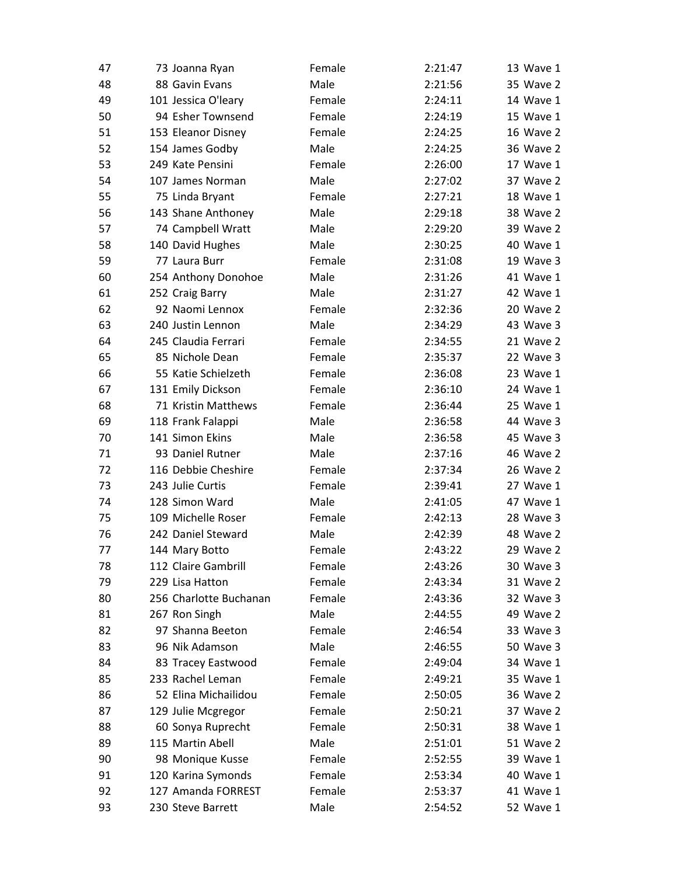| 47 | 73 Joanna Ryan         | Female | 2:21:47 | 13 Wave 1        |
|----|------------------------|--------|---------|------------------|
| 48 | 88 Gavin Evans         | Male   | 2:21:56 | 35 Wave 2        |
| 49 | 101 Jessica O'leary    | Female | 2:24:11 | 14 Wave 1        |
| 50 | 94 Esher Townsend      | Female | 2:24:19 | 15 Wave 1        |
| 51 | 153 Eleanor Disney     | Female | 2:24:25 | <b>16 Wave 2</b> |
| 52 | 154 James Godby        | Male   | 2:24:25 | 36 Wave 2        |
| 53 | 249 Kate Pensini       | Female | 2:26:00 | 17 Wave 1        |
| 54 | 107 James Norman       | Male   | 2:27:02 | 37 Wave 2        |
| 55 | 75 Linda Bryant        | Female | 2:27:21 | 18 Wave 1        |
| 56 | 143 Shane Anthoney     | Male   | 2:29:18 | 38 Wave 2        |
| 57 | 74 Campbell Wratt      | Male   | 2:29:20 | 39 Wave 2        |
| 58 | 140 David Hughes       | Male   | 2:30:25 | 40 Wave 1        |
| 59 | 77 Laura Burr          | Female | 2:31:08 | 19 Wave 3        |
| 60 | 254 Anthony Donohoe    | Male   | 2:31:26 | 41 Wave 1        |
| 61 | 252 Craig Barry        | Male   | 2:31:27 | 42 Wave 1        |
| 62 | 92 Naomi Lennox        | Female | 2:32:36 | 20 Wave 2        |
| 63 | 240 Justin Lennon      | Male   | 2:34:29 | 43 Wave 3        |
| 64 | 245 Claudia Ferrari    | Female | 2:34:55 | 21 Wave 2        |
| 65 | 85 Nichole Dean        | Female | 2:35:37 | 22 Wave 3        |
| 66 | 55 Katie Schielzeth    | Female | 2:36:08 | 23 Wave 1        |
| 67 | 131 Emily Dickson      | Female | 2:36:10 | 24 Wave 1        |
| 68 | 71 Kristin Matthews    | Female | 2:36:44 | 25 Wave 1        |
| 69 | 118 Frank Falappi      | Male   | 2:36:58 | 44 Wave 3        |
| 70 | 141 Simon Ekins        | Male   | 2:36:58 | 45 Wave 3        |
| 71 | 93 Daniel Rutner       | Male   | 2:37:16 | 46 Wave 2        |
| 72 | 116 Debbie Cheshire    | Female | 2:37:34 | 26 Wave 2        |
| 73 | 243 Julie Curtis       | Female | 2:39:41 | 27 Wave 1        |
| 74 | 128 Simon Ward         | Male   | 2:41:05 | 47 Wave 1        |
| 75 | 109 Michelle Roser     | Female | 2:42:13 | 28 Wave 3        |
| 76 | 242 Daniel Steward     | Male   | 2:42:39 | 48 Wave 2        |
| 77 | 144 Mary Botto         | Female | 2:43:22 | 29 Wave 2        |
| 78 | 112 Claire Gambrill    | Female | 2:43:26 | 30 Wave 3        |
| 79 | 229 Lisa Hatton        | Female | 2:43:34 | 31 Wave 2        |
| 80 | 256 Charlotte Buchanan | Female | 2:43:36 | 32 Wave 3        |
| 81 | 267 Ron Singh          | Male   | 2:44:55 | 49 Wave 2        |
| 82 | 97 Shanna Beeton       | Female | 2:46:54 | 33 Wave 3        |
| 83 | 96 Nik Adamson         | Male   | 2:46:55 | 50 Wave 3        |
| 84 | 83 Tracey Eastwood     | Female | 2:49:04 | 34 Wave 1        |
| 85 | 233 Rachel Leman       | Female | 2:49:21 | 35 Wave 1        |
| 86 | 52 Elina Michailidou   | Female | 2:50:05 | 36 Wave 2        |
| 87 | 129 Julie Mcgregor     | Female | 2:50:21 | 37 Wave 2        |
| 88 | 60 Sonya Ruprecht      | Female | 2:50:31 | 38 Wave 1        |
| 89 | 115 Martin Abell       | Male   | 2:51:01 | 51 Wave 2        |
| 90 | 98 Monique Kusse       | Female | 2:52:55 | 39 Wave 1        |
| 91 | 120 Karina Symonds     | Female | 2:53:34 | 40 Wave 1        |
| 92 | 127 Amanda FORREST     | Female | 2:53:37 | 41 Wave 1        |
| 93 | 230 Steve Barrett      | Male   | 2:54:52 | 52 Wave 1        |